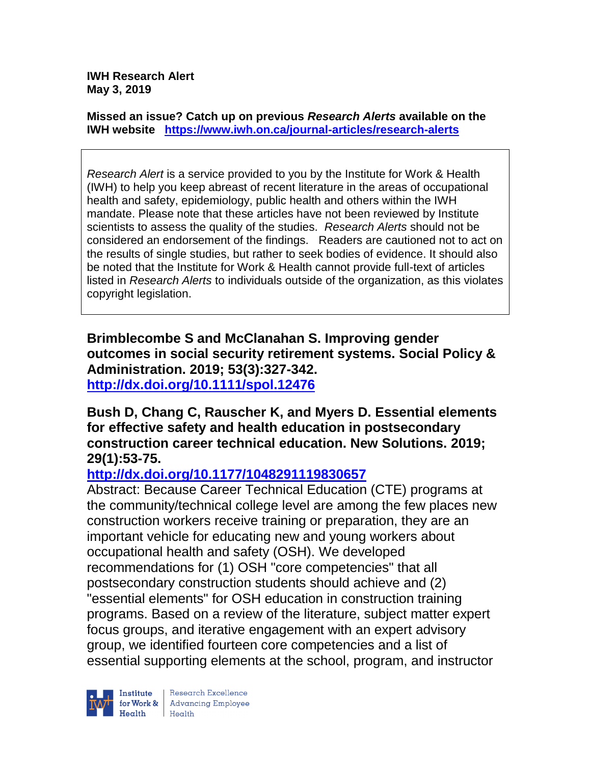**IWH Research Alert May 3, 2019**

**Missed an issue? Catch up on previous** *Research Alerts* **available on the [IWH website](http://www.iwh.on.ca/research-alerts) <https://www.iwh.on.ca/journal-articles/research-alerts>**

*Research Alert* is a service provided to you by the Institute for Work & Health (IWH) to help you keep abreast of recent literature in the areas of occupational health and safety, epidemiology, public health and others within the IWH mandate. Please note that these articles have not been reviewed by Institute scientists to assess the quality of the studies. *Research Alerts* should not be considered an endorsement of the findings. Readers are cautioned not to act on the results of single studies, but rather to seek bodies of evidence. It should also be noted that the Institute for Work & Health cannot provide full-text of articles listed in *Research Alerts* to individuals outside of the organization, as this violates copyright legislation.

**Brimblecombe S and McClanahan S. Improving gender outcomes in social security retirement systems. Social Policy & Administration. 2019; 53(3):327-342. <http://dx.doi.org/10.1111/spol.12476>**

**Bush D, Chang C, Rauscher K, and Myers D. Essential elements for effective safety and health education in postsecondary construction career technical education. New Solutions. 2019; 29(1):53-75.** 

## **<http://dx.doi.org/10.1177/1048291119830657>**

Abstract: Because Career Technical Education (CTE) programs at the community/technical college level are among the few places new construction workers receive training or preparation, they are an important vehicle for educating new and young workers about occupational health and safety (OSH). We developed recommendations for (1) OSH "core competencies" that all postsecondary construction students should achieve and (2) "essential elements" for OSH education in construction training programs. Based on a review of the literature, subject matter expert focus groups, and iterative engagement with an expert advisory group, we identified fourteen core competencies and a list of essential supporting elements at the school, program, and instructor

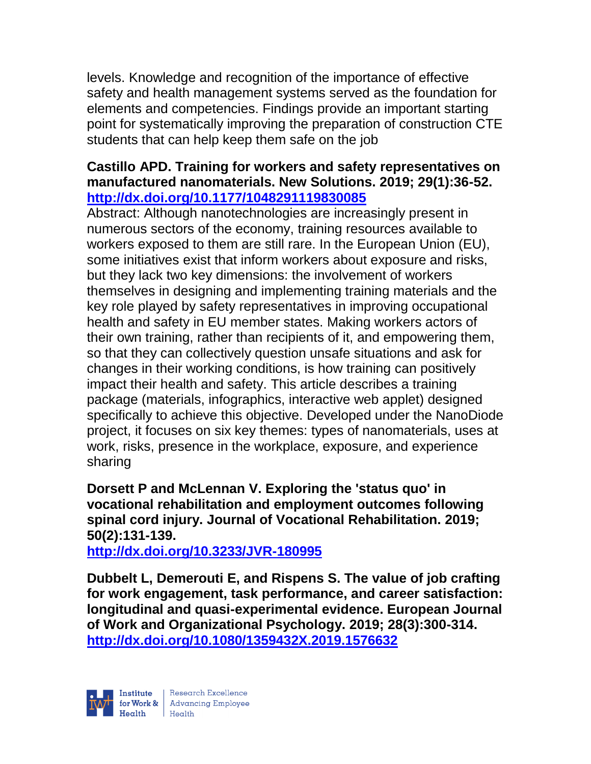levels. Knowledge and recognition of the importance of effective safety and health management systems served as the foundation for elements and competencies. Findings provide an important starting point for systematically improving the preparation of construction CTE students that can help keep them safe on the job

## **Castillo APD. Training for workers and safety representatives on manufactured nanomaterials. New Solutions. 2019; 29(1):36-52. <http://dx.doi.org/10.1177/1048291119830085>**

Abstract: Although nanotechnologies are increasingly present in numerous sectors of the economy, training resources available to workers exposed to them are still rare. In the European Union (EU), some initiatives exist that inform workers about exposure and risks, but they lack two key dimensions: the involvement of workers themselves in designing and implementing training materials and the key role played by safety representatives in improving occupational health and safety in EU member states. Making workers actors of their own training, rather than recipients of it, and empowering them, so that they can collectively question unsafe situations and ask for changes in their working conditions, is how training can positively impact their health and safety. This article describes a training package (materials, infographics, interactive web applet) designed specifically to achieve this objective. Developed under the NanoDiode project, it focuses on six key themes: types of nanomaterials, uses at work, risks, presence in the workplace, exposure, and experience sharing

## **Dorsett P and McLennan V. Exploring the 'status quo' in vocational rehabilitation and employment outcomes following spinal cord injury. Journal of Vocational Rehabilitation. 2019; 50(2):131-139.**

**<http://dx.doi.org/10.3233/JVR-180995>**

**Dubbelt L, Demerouti E, and Rispens S. The value of job crafting for work engagement, task performance, and career satisfaction: longitudinal and quasi-experimental evidence. European Journal of Work and Organizational Psychology. 2019; 28(3):300-314. <http://dx.doi.org/10.1080/1359432X.2019.1576632>**

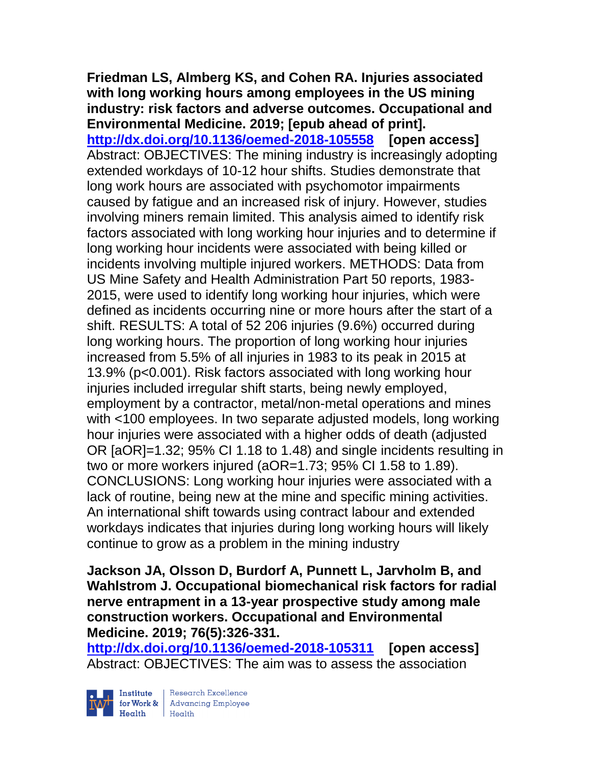#### **Friedman LS, Almberg KS, and Cohen RA. Injuries associated with long working hours among employees in the US mining industry: risk factors and adverse outcomes. Occupational and Environmental Medicine. 2019; [epub ahead of print].**

**<http://dx.doi.org/10.1136/oemed-2018-105558>[open access]** Abstract: OBJECTIVES: The mining industry is increasingly adopting extended workdays of 10-12 hour shifts. Studies demonstrate that long work hours are associated with psychomotor impairments caused by fatigue and an increased risk of injury. However, studies involving miners remain limited. This analysis aimed to identify risk factors associated with long working hour injuries and to determine if long working hour incidents were associated with being killed or incidents involving multiple injured workers. METHODS: Data from US Mine Safety and Health Administration Part 50 reports, 1983- 2015, were used to identify long working hour injuries, which were defined as incidents occurring nine or more hours after the start of a shift. RESULTS: A total of 52 206 injuries (9.6%) occurred during long working hours. The proportion of long working hour injuries increased from 5.5% of all injuries in 1983 to its peak in 2015 at 13.9% (p<0.001). Risk factors associated with long working hour injuries included irregular shift starts, being newly employed, employment by a contractor, metal/non-metal operations and mines with <100 employees. In two separate adjusted models, long working hour injuries were associated with a higher odds of death (adjusted OR [aOR]=1.32; 95% CI 1.18 to 1.48) and single incidents resulting in two or more workers injured (aOR=1.73; 95% CI 1.58 to 1.89). CONCLUSIONS: Long working hour injuries were associated with a lack of routine, being new at the mine and specific mining activities. An international shift towards using contract labour and extended workdays indicates that injuries during long working hours will likely continue to grow as a problem in the mining industry

**Jackson JA, Olsson D, Burdorf A, Punnett L, Jarvholm B, and Wahlstrom J. Occupational biomechanical risk factors for radial nerve entrapment in a 13-year prospective study among male construction workers. Occupational and Environmental Medicine. 2019; 76(5):326-331.** 

**<http://dx.doi.org/10.1136/oemed-2018-105311>[open access]** Abstract: OBJECTIVES: The aim was to assess the association



 $\begin{tabular}{|l|} Institute & Research Excellence \\ \hline for Work & Advancing Employee \\ Health & Health \\ \end{tabular}$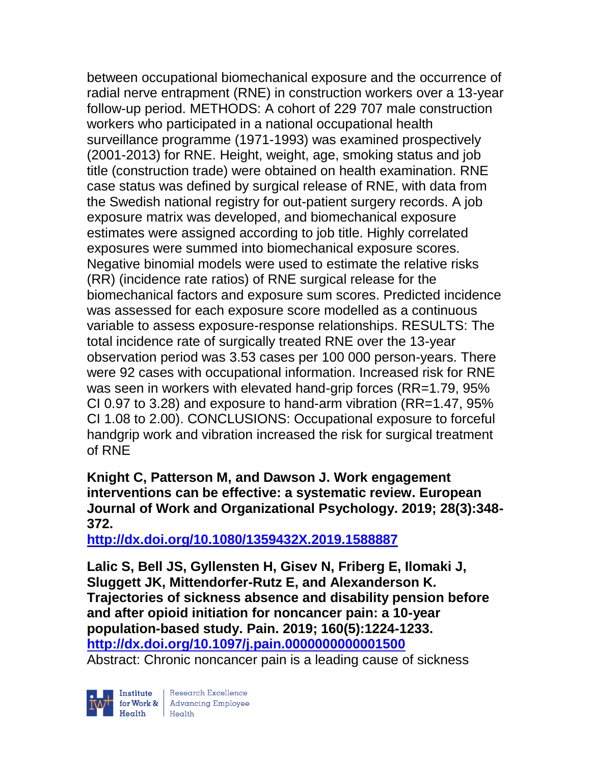between occupational biomechanical exposure and the occurrence of radial nerve entrapment (RNE) in construction workers over a 13-year follow-up period. METHODS: A cohort of 229 707 male construction workers who participated in a national occupational health surveillance programme (1971-1993) was examined prospectively (2001-2013) for RNE. Height, weight, age, smoking status and job title (construction trade) were obtained on health examination. RNE case status was defined by surgical release of RNE, with data from the Swedish national registry for out-patient surgery records. A job exposure matrix was developed, and biomechanical exposure estimates were assigned according to job title. Highly correlated exposures were summed into biomechanical exposure scores. Negative binomial models were used to estimate the relative risks (RR) (incidence rate ratios) of RNE surgical release for the biomechanical factors and exposure sum scores. Predicted incidence was assessed for each exposure score modelled as a continuous variable to assess exposure-response relationships. RESULTS: The total incidence rate of surgically treated RNE over the 13-year observation period was 3.53 cases per 100 000 person-years. There were 92 cases with occupational information. Increased risk for RNE was seen in workers with elevated hand-grip forces (RR=1.79, 95% CI 0.97 to 3.28) and exposure to hand-arm vibration (RR=1.47, 95% CI 1.08 to 2.00). CONCLUSIONS: Occupational exposure to forceful handgrip work and vibration increased the risk for surgical treatment of RNE

**Knight C, Patterson M, and Dawson J. Work engagement interventions can be effective: a systematic review. European Journal of Work and Organizational Psychology. 2019; 28(3):348- 372.** 

**<http://dx.doi.org/10.1080/1359432X.2019.1588887>**

**Lalic S, Bell JS, Gyllensten H, Gisev N, Friberg E, Ilomaki J, Sluggett JK, Mittendorfer-Rutz E, and Alexanderson K. Trajectories of sickness absence and disability pension before and after opioid initiation for noncancer pain: a 10-year population-based study. Pain. 2019; 160(5):1224-1233. <http://dx.doi.org/10.1097/j.pain.0000000000001500>**

Abstract: Chronic noncancer pain is a leading cause of sickness



| Research Excellence for Work & Advancing Employee<br>Health Health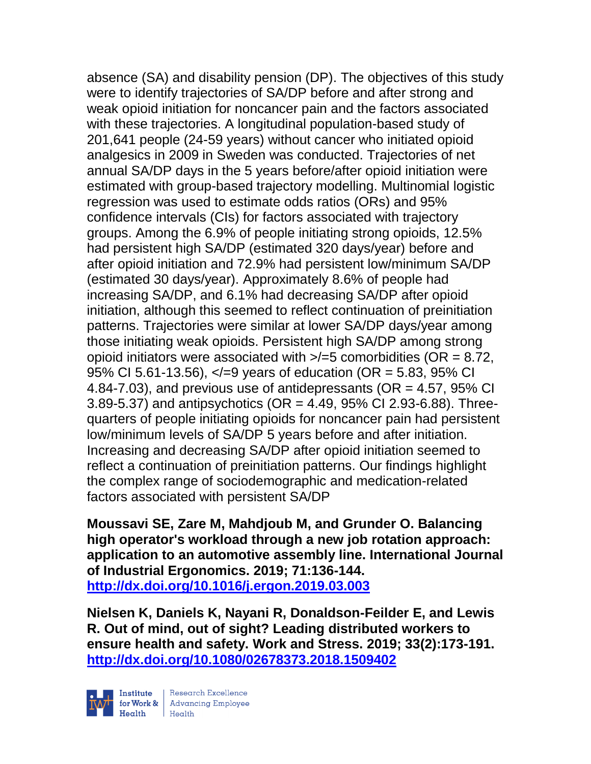absence (SA) and disability pension (DP). The objectives of this study were to identify trajectories of SA/DP before and after strong and weak opioid initiation for noncancer pain and the factors associated with these trajectories. A longitudinal population-based study of 201,641 people (24-59 years) without cancer who initiated opioid analgesics in 2009 in Sweden was conducted. Trajectories of net annual SA/DP days in the 5 years before/after opioid initiation were estimated with group-based trajectory modelling. Multinomial logistic regression was used to estimate odds ratios (ORs) and 95% confidence intervals (CIs) for factors associated with trajectory groups. Among the 6.9% of people initiating strong opioids, 12.5% had persistent high SA/DP (estimated 320 days/year) before and after opioid initiation and 72.9% had persistent low/minimum SA/DP (estimated 30 days/year). Approximately 8.6% of people had increasing SA/DP, and 6.1% had decreasing SA/DP after opioid initiation, although this seemed to reflect continuation of preinitiation patterns. Trajectories were similar at lower SA/DP days/year among those initiating weak opioids. Persistent high SA/DP among strong opioid initiators were associated with  $\ge$ /=5 comorbidities (OR = 8.72, 95% CI 5.61-13.56),  $\lt$  =9 years of education (OR = 5.83, 95% CI 4.84-7.03), and previous use of antidepressants ( $OR = 4.57$ ,  $95\%$  CI 3.89-5.37) and antipsychotics (OR = 4.49, 95% CI 2.93-6.88). Threequarters of people initiating opioids for noncancer pain had persistent low/minimum levels of SA/DP 5 years before and after initiation. Increasing and decreasing SA/DP after opioid initiation seemed to reflect a continuation of preinitiation patterns. Our findings highlight the complex range of sociodemographic and medication-related factors associated with persistent SA/DP

**Moussavi SE, Zare M, Mahdjoub M, and Grunder O. Balancing high operator's workload through a new job rotation approach: application to an automotive assembly line. International Journal of Industrial Ergonomics. 2019; 71:136-144. <http://dx.doi.org/10.1016/j.ergon.2019.03.003>**

**Nielsen K, Daniels K, Nayani R, Donaldson-Feilder E, and Lewis R. Out of mind, out of sight? Leading distributed workers to ensure health and safety. Work and Stress. 2019; 33(2):173-191. <http://dx.doi.org/10.1080/02678373.2018.1509402>**

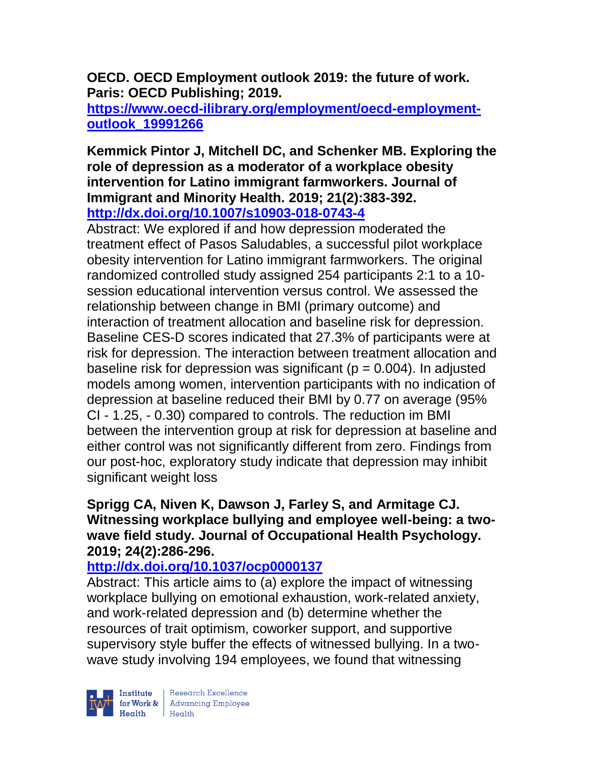**OECD. OECD Employment outlook 2019: the future of work. Paris: OECD Publishing; 2019.** 

**[https://www.oecd-ilibrary.org/employment/oecd-employment](https://www.oecd-ilibrary.org/employment/oecd-employment-outlook_19991266)[outlook\\_19991266](https://www.oecd-ilibrary.org/employment/oecd-employment-outlook_19991266)**

#### **Kemmick Pintor J, Mitchell DC, and Schenker MB. Exploring the role of depression as a moderator of a workplace obesity intervention for Latino immigrant farmworkers. Journal of Immigrant and Minority Health. 2019; 21(2):383-392. <http://dx.doi.org/10.1007/s10903-018-0743-4>**

Abstract: We explored if and how depression moderated the treatment effect of Pasos Saludables, a successful pilot workplace obesity intervention for Latino immigrant farmworkers. The original randomized controlled study assigned 254 participants 2:1 to a 10 session educational intervention versus control. We assessed the relationship between change in BMI (primary outcome) and interaction of treatment allocation and baseline risk for depression. Baseline CES-D scores indicated that 27.3% of participants were at risk for depression. The interaction between treatment allocation and baseline risk for depression was significant ( $p = 0.004$ ). In adjusted models among women, intervention participants with no indication of depression at baseline reduced their BMI by 0.77 on average (95% CI - 1.25, - 0.30) compared to controls. The reduction im BMI between the intervention group at risk for depression at baseline and either control was not significantly different from zero. Findings from our post-hoc, exploratory study indicate that depression may inhibit significant weight loss

## **Sprigg CA, Niven K, Dawson J, Farley S, and Armitage CJ. Witnessing workplace bullying and employee well-being: a twowave field study. Journal of Occupational Health Psychology. 2019; 24(2):286-296.**

# **<http://dx.doi.org/10.1037/ocp0000137>**

Abstract: This article aims to (a) explore the impact of witnessing workplace bullying on emotional exhaustion, work-related anxiety, and work-related depression and (b) determine whether the resources of trait optimism, coworker support, and supportive supervisory style buffer the effects of witnessed bullying. In a twowave study involving 194 employees, we found that witnessing



| Research Excellence **Example 18 Advancing Employee**<br> **Health** Health<br>
Health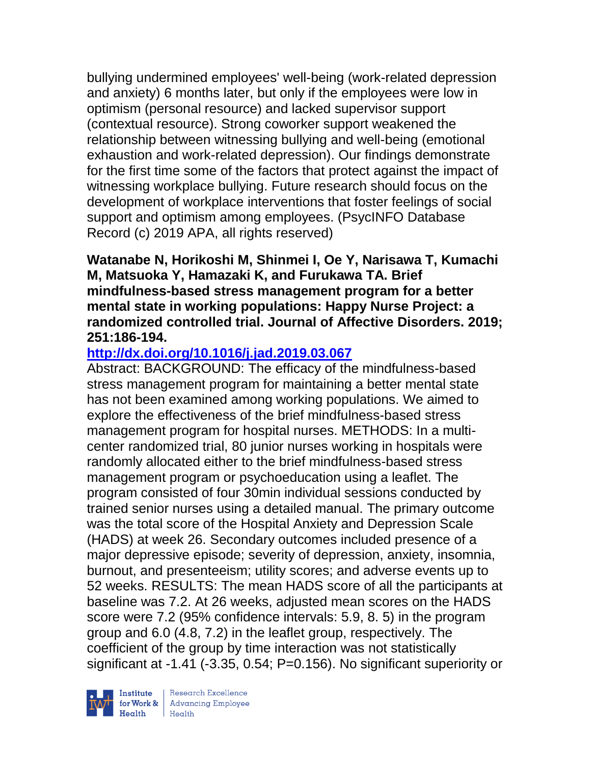bullying undermined employees' well-being (work-related depression and anxiety) 6 months later, but only if the employees were low in optimism (personal resource) and lacked supervisor support (contextual resource). Strong coworker support weakened the relationship between witnessing bullying and well-being (emotional exhaustion and work-related depression). Our findings demonstrate for the first time some of the factors that protect against the impact of witnessing workplace bullying. Future research should focus on the development of workplace interventions that foster feelings of social support and optimism among employees. (PsycINFO Database Record (c) 2019 APA, all rights reserved)

**Watanabe N, Horikoshi M, Shinmei I, Oe Y, Narisawa T, Kumachi M, Matsuoka Y, Hamazaki K, and Furukawa TA. Brief mindfulness-based stress management program for a better mental state in working populations: Happy Nurse Project: a randomized controlled trial. Journal of Affective Disorders. 2019; 251:186-194.** 

# **<http://dx.doi.org/10.1016/j.jad.2019.03.067>**

Abstract: BACKGROUND: The efficacy of the mindfulness-based stress management program for maintaining a better mental state has not been examined among working populations. We aimed to explore the effectiveness of the brief mindfulness-based stress management program for hospital nurses. METHODS: In a multicenter randomized trial, 80 junior nurses working in hospitals were randomly allocated either to the brief mindfulness-based stress management program or psychoeducation using a leaflet. The program consisted of four 30min individual sessions conducted by trained senior nurses using a detailed manual. The primary outcome was the total score of the Hospital Anxiety and Depression Scale (HADS) at week 26. Secondary outcomes included presence of a major depressive episode; severity of depression, anxiety, insomnia, burnout, and presenteeism; utility scores; and adverse events up to 52 weeks. RESULTS: The mean HADS score of all the participants at baseline was 7.2. At 26 weeks, adjusted mean scores on the HADS score were 7.2 (95% confidence intervals: 5.9, 8. 5) in the program group and 6.0 (4.8, 7.2) in the leaflet group, respectively. The coefficient of the group by time interaction was not statistically significant at -1.41 (-3.35, 0.54; P=0.156). No significant superiority or